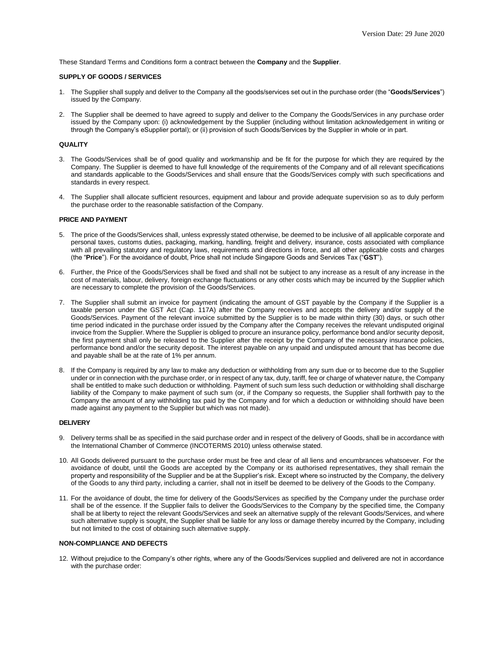These Standard Terms and Conditions form a contract between the **Company** and the **Supplier**.

## **SUPPLY OF GOODS / SERVICES**

- 1. The Supplier shall supply and deliver to the Company all the goods/services set out in the purchase order (the "**Goods/Services**") issued by the Company.
- 2. The Supplier shall be deemed to have agreed to supply and deliver to the Company the Goods/Services in any purchase order issued by the Company upon: (i) acknowledgement by the Supplier (including without limitation acknowledgement in writing or through the Company's eSupplier portal); or (ii) provision of such Goods/Services by the Supplier in whole or in part.

### **QUALITY**

- 3. The Goods/Services shall be of good quality and workmanship and be fit for the purpose for which they are required by the Company. The Supplier is deemed to have full knowledge of the requirements of the Company and of all relevant specifications and standards applicable to the Goods/Services and shall ensure that the Goods/Services comply with such specifications and standards in every respect.
- 4. The Supplier shall allocate sufficient resources, equipment and labour and provide adequate supervision so as to duly perform the purchase order to the reasonable satisfaction of the Company.

### **PRICE AND PAYMENT**

- 5. The price of the Goods/Services shall, unless expressly stated otherwise, be deemed to be inclusive of all applicable corporate and personal taxes, customs duties, packaging, marking, handling, freight and delivery, insurance, costs associated with compliance with all prevailing statutory and regulatory laws, requirements and directions in force, and all other applicable costs and charges (the "**Price**"). For the avoidance of doubt, Price shall not include Singapore Goods and Services Tax ("**GST**").
- 6. Further, the Price of the Goods/Services shall be fixed and shall not be subject to any increase as a result of any increase in the cost of materials, labour, delivery, foreign exchange fluctuations or any other costs which may be incurred by the Supplier which are necessary to complete the provision of the Goods/Services.
- 7. The Supplier shall submit an invoice for payment (indicating the amount of GST payable by the Company if the Supplier is a taxable person under the GST Act (Cap. 117A) after the Company receives and accepts the delivery and/or supply of the Goods/Services. Payment of the relevant invoice submitted by the Supplier is to be made within thirty (30) days, or such other time period indicated in the purchase order issued by the Company after the Company receives the relevant undisputed original invoice from the Supplier. Where the Supplier is obliged to procure an insurance policy, performance bond and/or security deposit, the first payment shall only be released to the Supplier after the receipt by the Company of the necessary insurance policies, performance bond and/or the security deposit. The interest payable on any unpaid and undisputed amount that has become due and payable shall be at the rate of 1% per annum.
- 8. If the Company is required by any law to make any deduction or withholding from any sum due or to become due to the Supplier under or in connection with the purchase order, or in respect of any tax, duty, tariff, fee or charge of whatever nature, the Company shall be entitled to make such deduction or withholding. Payment of such sum less such deduction or withholding shall discharge liability of the Company to make payment of such sum (or, if the Company so requests, the Supplier shall forthwith pay to the Company the amount of any withholding tax paid by the Company and for which a deduction or withholding should have been made against any payment to the Supplier but which was not made).

### **DELIVERY**

- 9. Delivery terms shall be as specified in the said purchase order and in respect of the delivery of Goods, shall be in accordance with the International Chamber of Commerce (INCOTERMS 2010) unless otherwise stated.
- 10. All Goods delivered pursuant to the purchase order must be free and clear of all liens and encumbrances whatsoever. For the avoidance of doubt, until the Goods are accepted by the Company or its authorised representatives, they shall remain the property and responsibility of the Supplier and be at the Supplier's risk. Except where so instructed by the Company, the delivery of the Goods to any third party, including a carrier, shall not in itself be deemed to be delivery of the Goods to the Company.
- 11. For the avoidance of doubt, the time for delivery of the Goods/Services as specified by the Company under the purchase order shall be of the essence. If the Supplier fails to deliver the Goods/Services to the Company by the specified time, the Company shall be at liberty to reject the relevant Goods/Services and seek an alternative supply of the relevant Goods/Services, and where such alternative supply is sought, the Supplier shall be liable for any loss or damage thereby incurred by the Company, including but not limited to the cost of obtaining such alternative supply.

## **NON-COMPLIANCE AND DEFECTS**

12. Without prejudice to the Company's other rights, where any of the Goods/Services supplied and delivered are not in accordance with the purchase order: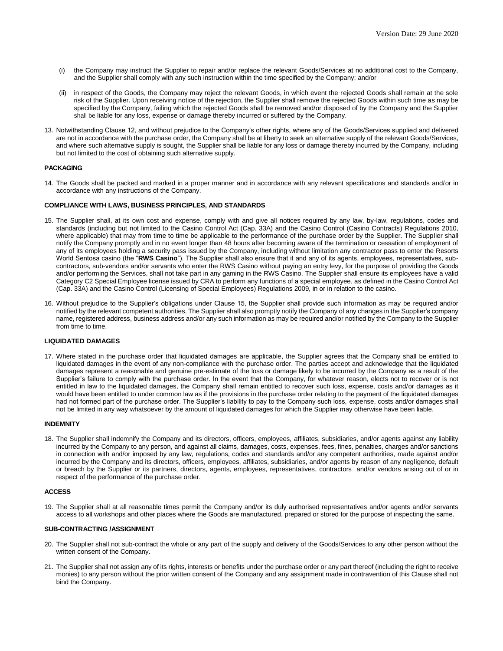- (i) the Company may instruct the Supplier to repair and/or replace the relevant Goods/Services at no additional cost to the Company, and the Supplier shall comply with any such instruction within the time specified by the Company; and/or
- (ii) in respect of the Goods, the Company may reject the relevant Goods, in which event the rejected Goods shall remain at the sole risk of the Supplier. Upon receiving notice of the rejection, the Supplier shall remove the rejected Goods within such time as may be specified by the Company, failing which the rejected Goods shall be removed and/or disposed of by the Company and the Supplier shall be liable for any loss, expense or damage thereby incurred or suffered by the Company.
- 13. Notwithstanding Clause 12, and without prejudice to the Company's other rights, where any of the Goods/Services supplied and delivered are not in accordance with the purchase order, the Company shall be at liberty to seek an alternative supply of the relevant Goods/Services, and where such alternative supply is sought, the Supplier shall be liable for any loss or damage thereby incurred by the Company, including but not limited to the cost of obtaining such alternative supply.

# **PACKAGING**

14. The Goods shall be packed and marked in a proper manner and in accordance with any relevant specifications and standards and/or in accordance with any instructions of the Company.

### **COMPLIANCE WITH LAWS, BUSINESS PRINCIPLES, AND STANDARDS**

- 15. The Supplier shall, at its own cost and expense, comply with and give all notices required by any law, by-law, regulations, codes and standards (including but not limited to the Casino Control Act (Cap. 33A) and the Casino Control (Casino Contracts) Regulations 2010, where applicable) that may from time to time be applicable to the performance of the purchase order by the Supplier. The Supplier shall notify the Company promptly and in no event longer than 48 hours after becoming aware of the termination or cessation of employment of any of its employees holding a security pass issued by the Company, including without limitation any contractor pass to enter the Resorts World Sentosa casino (the "**RWS Casino**"). The Supplier shall also ensure that it and any of its agents, employees, representatives, subcontractors, sub-vendors and/or servants who enter the RWS Casino without paying an entry levy, for the purpose of providing the Goods and/or performing the Services, shall not take part in any gaming in the RWS Casino. The Supplier shall ensure its employees have a valid Category C2 Special Employee license issued by CRA to perform any functions of a special employee, as defined in the Casino Control Act (Cap. 33A) and the Casino Control (Licensing of Special Employees) Regulations 2009, in or in relation to the casino.
- 16. Without prejudice to the Supplier's obligations under Clause 15, the Supplier shall provide such information as may be required and/or notified by the relevant competent authorities. The Supplier shall also promptly notify the Company of any changes in the Supplier's company name, registered address, business address and/or any such information as may be required and/or notified by the Company to the Supplier from time to time.

## **LIQUIDATED DAMAGES**

17. Where stated in the purchase order that liquidated damages are applicable, the Supplier agrees that the Company shall be entitled to liquidated damages in the event of any non-compliance with the purchase order. The parties accept and acknowledge that the liquidated damages represent a reasonable and genuine pre-estimate of the loss or damage likely to be incurred by the Company as a result of the Supplier's failure to comply with the purchase order. In the event that the Company, for whatever reason, elects not to recover or is not entitled in law to the liquidated damages, the Company shall remain entitled to recover such loss, expense, costs and/or damages as it would have been entitled to under common law as if the provisions in the purchase order relating to the payment of the liquidated damages had not formed part of the purchase order. The Supplier's liability to pay to the Company such loss, expense, costs and/or damages shall not be limited in any way whatsoever by the amount of liquidated damages for which the Supplier may otherwise have been liable.

### **INDEMNITY**

18. The Supplier shall indemnify the Company and its directors, officers, employees, affiliates, subsidiaries, and/or agents against any liability incurred by the Company to any person, and against all claims, damages, costs, expenses, fees, fines, penalties, charges and/or sanctions in connection with and/or imposed by any law, regulations, codes and standards and/or any competent authorities, made against and/or incurred by the Company and its directors, officers, employees, affiliates, subsidiaries, and/or agents by reason of any negligence, default or breach by the Supplier or its partners, directors, agents, employees, representatives, contractors and/or vendors arising out of or in respect of the performance of the purchase order.

### **ACCESS**

19. The Supplier shall at all reasonable times permit the Company and/or its duly authorised representatives and/or agents and/or servants access to all workshops and other places where the Goods are manufactured, prepared or stored for the purpose of inspecting the same.

### **SUB-CONTRACTING /ASSIGNMENT**

- 20. The Supplier shall not sub-contract the whole or any part of the supply and delivery of the Goods/Services to any other person without the written consent of the Company.
- 21. The Supplier shall not assign any of its rights, interests or benefits under the purchase order or any part thereof (including the right to receive monies) to any person without the prior written consent of the Company and any assignment made in contravention of this Clause shall not bind the Company.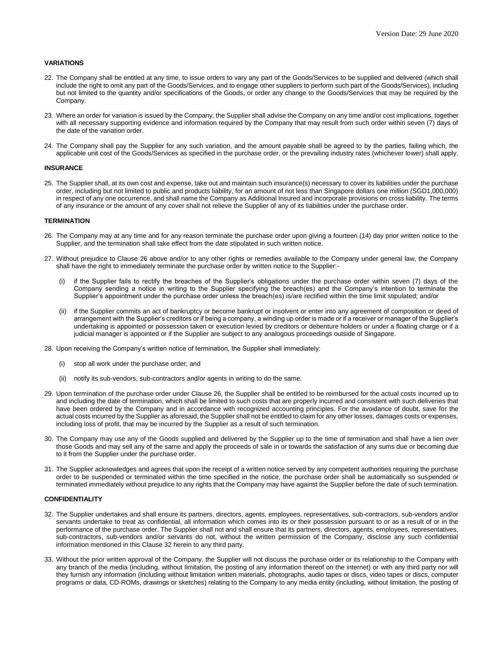## **VARIATIONS**

- 22. The Company shall be entitled at any time, to issue orders to vary any part of the Goods/Services to be supplied and delivered (which shall include the right to omit any part of the Goods/Services, and to engage other suppliers to perform such part of the Goods/Services), including but not limited to the quantity and/or specifications of the Goods, or order any change to the Goods/Services that may be required by the Company.
- 23. Where an order for variation is issued by the Company, the Supplier shall advise the Company on any time and/or cost implications, together with all necessary supporting evidence and information required by the Company that may result from such order within seven (7) days of the date of the variation order.
- 24. The Company shall pay the Supplier for any such variation, and the amount payable shall be agreed to by the parties, failing which, the applicable unit cost of the Goods/Services as specified in the purchase order, or the prevailing industry rates (whichever lower) shall apply.

## **INSURANCE**

25. The Supplier shall, at its own cost and expense, take out and maintain such insurance(s) necessary to cover its liabilities under the purchase order, including but not limited to public and products liability, for an amount of not less than Singapore dollars one million (SGD1,000,000) in respect of any one occurrence, and shall name the Company as Additional Insured and incorporate provisions on cross liability. The terms of any insurance or the amount of any cover shall not relieve the Supplier of any of its liabilities under the purchase order.

### **TERMINATION**

- 26. The Company may at any time and for any reason terminate the purchase order upon giving a fourteen (14) day prior written notice to the Supplier, and the termination shall take effect from the date stipulated in such written notice.
- 27. Without prejudice to Clause 26 above and/or to any other rights or remedies available to the Company under general law, the Company shall have the right to immediately terminate the purchase order by written notice to the Supplier:
	- if the Supplier fails to rectify the breaches of the Supplier's obligations under the purchase order within seven (7) days of the Company sending a notice in writing to the Supplier specifying the breach(es) and the Company's intention to terminate the Supplier's appointment under the purchase order unless the breach(es) is/are rectified within the time limit stipulated; and/or
	- (ii) if the Supplier commits an act of bankruptcy or become bankrupt or insolvent or enter into any agreement of composition or deed of arrangement with the Supplier's creditors or if being a company, a winding up order is made or if a receiver or manager of the Supplier's undertaking is appointed or possession taken or execution levied by creditors or debenture holders or under a floating charge or if a judicial manager is appointed or if the Supplier are subject to any analogous proceedings outside of Singapore.
- 28. Upon receiving the Company's written notice of termination, the Supplier shall immediately:
	- stop all work under the purchase order; and
	- (ii) notify its sub-vendors, sub-contractors and/or agents in writing to do the same.
- 29. Upon termination of the purchase order under Clause 26, the Supplier shall be entitled to be reimbursed for the actual costs incurred up to and including the date of termination, which shall be limited to such costs that are properly incurred and consistent with such deliveries that have been ordered by the Company and in accordance with recognized accounting principles. For the avoidance of doubt, save for the actual costs incurred by the Supplier as aforesaid, the Supplier shall not be entitled to claim for any other losses, damages costs or expenses, including loss of profit, that may be incurred by the Supplier as a result of such termination.
- 30. The Company may use any of the Goods supplied and delivered by the Supplier up to the time of termination and shall have a lien over those Goods and may sell any of the same and apply the proceeds of sale in or towards the satisfaction of any sums due or becoming due to it from the Supplier under the purchase order.
- 31. The Supplier acknowledges and agrees that upon the receipt of a written notice served by any competent authorities requiring the purchase order to be suspended or terminated within the time specified in the notice, the purchase order shall be automatically so suspended or terminated immediately without prejudice to any rights that the Company may have against the Supplier before the date of such termination.

### **CONFIDENTIALITY**

- 32. The Supplier undertakes and shall ensure its partners, directors, agents, employees, representatives, sub-contractors, sub-vendors and/or servants undertake to treat as confidential, all information which comes into its or their possession pursuant to or as a result of or in the performance of the purchase order. The Supplier shall not and shall ensure that its partners, directors, agents, employees, representatives, sub-contractors, sub-vendors and/or servants do not, without the written permission of the Company, disclose any such confidential information mentioned in this Clause 32 herein to any third party.
- 33. Without the prior written approval of the Company, the Supplier will not discuss the purchase order or its relationship to the Company with any branch of the media (including, without limitation, the posting of any information thereof on the internet) or with any third party nor will they furnish any information (including without limitation written materials, photographs, audio tapes or discs, video tapes or discs, computer programs or data, CD-ROMs, drawings or sketches) relating to the Company to any media entity (including, without limitation, the posting of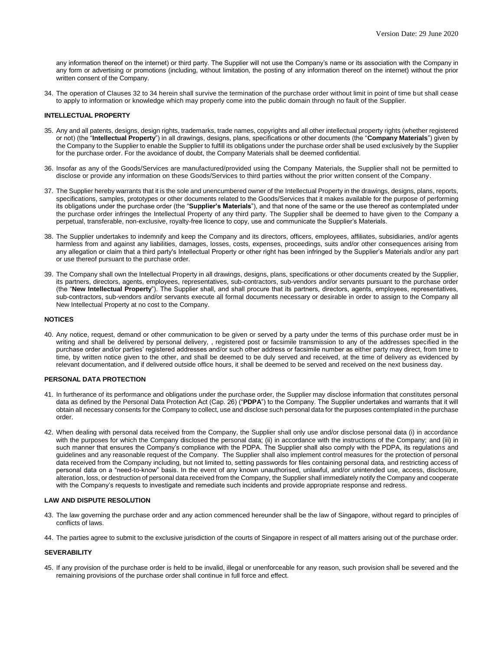any information thereof on the internet) or third party. The Supplier will not use the Company's name or its association with the Company in any form or advertising or promotions (including, without limitation, the posting of any information thereof on the internet) without the prior written consent of the Company.

34. The operation of Clauses 32 to 34 herein shall survive the termination of the purchase order without limit in point of time but shall cease to apply to information or knowledge which may properly come into the public domain through no fault of the Supplier.

### **INTELLECTUAL PROPERTY**

- 35. Any and all patents, designs, design rights, trademarks, trade names, copyrights and all other intellectual property rights (whether registered or not) (the "**Intellectual Property**") in all drawings, designs, plans, specifications or other documents (the "**Company Materials**") given by the Company to the Supplier to enable the Supplier to fulfill its obligations under the purchase order shall be used exclusively by the Supplier for the purchase order. For the avoidance of doubt, the Company Materials shall be deemed confidential.
- 36. Insofar as any of the Goods/Services are manufactured/provided using the Company Materials, the Supplier shall not be permitted to disclose or provide any information on these Goods/Services to third parties without the prior written consent of the Company.
- 37. The Supplier hereby warrants that it is the sole and unencumbered owner of the Intellectual Property in the drawings, designs, plans, reports, specifications, samples, prototypes or other documents related to the Goods/Services that it makes available for the purpose of performing its obligations under the purchase order (the "**Supplier's Materials**"), and that none of the same or the use thereof as contemplated under the purchase order infringes the Intellectual Property of any third party. The Supplier shall be deemed to have given to the Company a perpetual, transferable, non-exclusive, royalty-free licence to copy, use and communicate the Supplier's Materials.
- 38. The Supplier undertakes to indemnify and keep the Company and its directors, officers, employees, affiliates, subsidiaries, and/or agents harmless from and against any liabilities, damages, losses, costs, expenses, proceedings, suits and/or other consequences arising from any allegation or claim that a third party's Intellectual Property or other right has been infringed by the Supplier's Materials and/or any part or use thereof pursuant to the purchase order.
- 39. The Company shall own the Intellectual Property in all drawings, designs, plans, specifications or other documents created by the Supplier, its partners, directors, agents, employees, representatives, sub-contractors, sub-vendors and/or servants pursuant to the purchase order (the "**New Intellectual Property**"). The Supplier shall, and shall procure that its partners, directors, agents, employees, representatives, sub-contractors, sub-vendors and/or servants execute all formal documents necessary or desirable in order to assign to the Company all New Intellectual Property at no cost to the Company.

## **NOTICES**

40. Any notice, request, demand or other communication to be given or served by a party under the terms of this purchase order must be in writing and shall be delivered by personal delivery, , registered post or facsimile transmission to any of the addresses specified in the purchase order and/or parties' registered addresses and/or such other address or facsimile number as either party may direct, from time to time, by written notice given to the other, and shall be deemed to be duly served and received, at the time of delivery as evidenced by relevant documentation, and if delivered outside office hours, it shall be deemed to be served and received on the next business day.

#### **PERSONAL DATA PROTECTION**

- 41. In furtherance of its performance and obligations under the purchase order, the Supplier may disclose information that constitutes personal data as defined by the Personal Data Protection Act (Cap. 26) ("**PDPA**") to the Company. The Supplier undertakes and warrants that it will obtain all necessary consents for the Company to collect, use and disclose such personal data for the purposes contemplated in the purchase order.
- 42. When dealing with personal data received from the Company, the Supplier shall only use and/or disclose personal data (i) in accordance with the purposes for which the Company disclosed the personal data; (ii) in accordance with the instructions of the Company; and (iii) in such manner that ensures the Company's compliance with the PDPA. The Supplier shall also comply with the PDPA, its regulations and guidelines and any reasonable request of the Company. The Supplier shall also implement control measures for the protection of personal data received from the Company including, but not limited to, setting passwords for files containing personal data, and restricting access of personal data on a "need-to-know" basis. In the event of any known unauthorised, unlawful, and/or unintended use, access, disclosure, alteration, loss, or destruction of personal data received from the Company, the Supplier shall immediately notify the Company and cooperate with the Company's requests to investigate and remediate such incidents and provide appropriate response and redress.

### **LAW AND DISPUTE RESOLUTION**

- 43. The law governing the purchase order and any action commenced hereunder shall be the law of Singapore, without regard to principles of conflicts of laws.
- 44. The parties agree to submit to the exclusive jurisdiction of the courts of Singapore in respect of all matters arising out of the purchase order.

#### **SEVERABILITY**

45. If any provision of the purchase order is held to be invalid, illegal or unenforceable for any reason, such provision shall be severed and the remaining provisions of the purchase order shall continue in full force and effect.